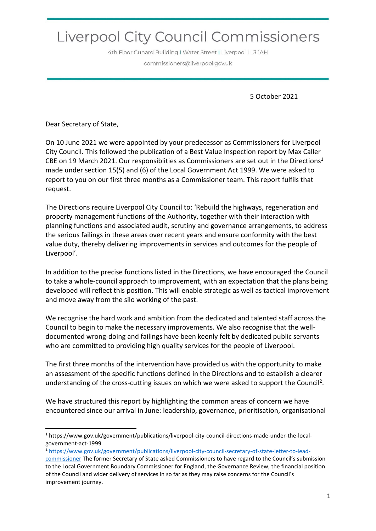# Liverpool City Council Commissioners

4th Floor Cunard Building I Water Street I Liverpool I L3 1AH commissioners@liverpool.gov.uk

5 October 2021

Dear Secretary of State,

On 10 June 2021 we were appointed by your predecessor as Commissioners for Liverpool City Council. This followed the publication of a Best Value Inspection report by Max Caller CBE on 19 March 2021. Our responsiblities as Commissioners are set out in the Directions<sup>1</sup> made under section 15(5) and (6) of the Local Government Act 1999. We were asked to report to you on our first three months as a Commissioner team. This report fulfils that request.

The Directions require Liverpool City Council to: 'Rebuild the highways, regeneration and property management functions of the Authority, together with their interaction with planning functions and associated audit, scrutiny and governance arrangements, to address the serious failings in these areas over recent years and ensure conformity with the best value duty, thereby delivering improvements in services and outcomes for the people of Liverpool'.

In addition to the precise functions listed in the Directions, we have encouraged the Council to take a whole-council approach to improvement, with an expectation that the plans being developed will reflect this position. This will enable strategic as well as tactical improvement and move away from the silo working of the past.

We recognise the hard work and ambition from the dedicated and talented staff across the Council to begin to make the necessary improvements. We also recognise that the welldocumented wrong-doing and failings have been keenly felt by dedicated public servants who are committed to providing high quality services for the people of Liverpool.

The first three months of the intervention have provided us with the opportunity to make an assessment of the specific functions defined in the Directions and to establish a clearer understanding of the cross-cutting issues on which we were asked to support the Council<sup>2</sup>.

We have structured this report by highlighting the common areas of concern we have encountered since our arrival in June: leadership, governance, prioritisation, organisational

<sup>2</sup> [https://www.gov.uk/government/publications/liverpool-city-council-secretary-of-state-letter-to-lead-](https://www.gov.uk/government/publications/liverpool-city-council-secretary-of-state-letter-to-lead-commissioner)

<sup>1</sup> https://www.gov.uk/government/publications/liverpool-city-council-directions-made-under-the-localgovernment-act-1999

[commissioner](https://www.gov.uk/government/publications/liverpool-city-council-secretary-of-state-letter-to-lead-commissioner) The former Secretary of State asked Commissioners to have regard to the Council's submission to the Local Government Boundary Commissioner for England, the Governance Review, the financial position of the Council and wider delivery of services in so far as they may raise concerns for the Council's improvement journey.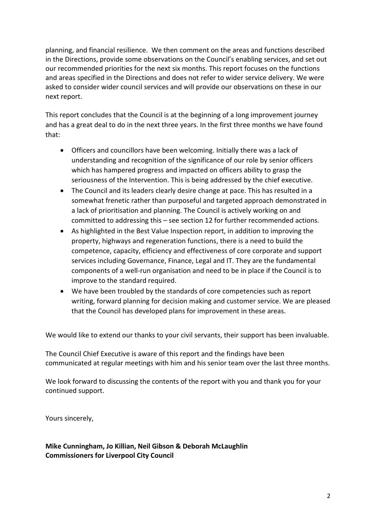planning, and financial resilience. We then comment on the areas and functions described in the Directions, provide some observations on the Council's enabling services, and set out our recommended priorities for the next six months. This report focuses on the functions and areas specified in the Directions and does not refer to wider service delivery. We were asked to consider wider council services and will provide our observations on these in our next report.

This report concludes that the Council is at the beginning of a long improvement journey and has a great deal to do in the next three years. In the first three months we have found that:

- Officers and councillors have been welcoming. Initially there was a lack of understanding and recognition of the significance of our role by senior officers which has hampered progress and impacted on officers ability to grasp the seriousness of the Intervention. This is being addressed by the chief executive.
- The Council and its leaders clearly desire change at pace. This has resulted in a somewhat frenetic rather than purposeful and targeted approach demonstrated in a lack of prioritisation and planning. The Council is actively working on and committed to addressing this – see section 12 for further recommended actions.
- As highlighted in the Best Value Inspection report, in addition to improving the property, highways and regeneration functions, there is a need to build the competence, capacity, efficiency and effectiveness of core corporate and support services including Governance, Finance, Legal and IT. They are the fundamental components of a well-run organisation and need to be in place if the Council is to improve to the standard required.
- We have been troubled by the standards of core competencies such as report writing, forward planning for decision making and customer service. We are pleased that the Council has developed plans for improvement in these areas.

We would like to extend our thanks to your civil servants, their support has been invaluable.

The Council Chief Executive is aware of this report and the findings have been communicated at regular meetings with him and his senior team over the last three months.

We look forward to discussing the contents of the report with you and thank you for your continued support.

Yours sincerely,

**Mike Cunningham, Jo Killian, Neil Gibson & Deborah McLaughlin Commissioners for Liverpool City Council**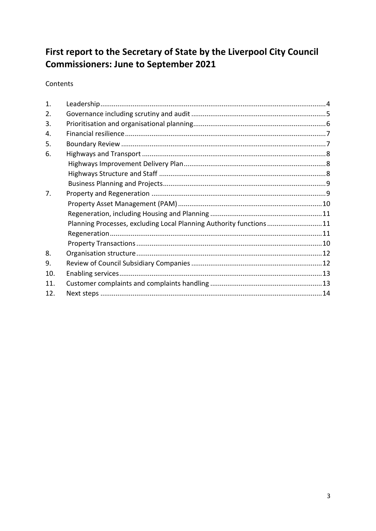## First report to the Secretary of State by the Liverpool City Council **Commissioners: June to September 2021**

Contents

| 1.  |                                                                    |  |
|-----|--------------------------------------------------------------------|--|
| 2.  |                                                                    |  |
| 3.  |                                                                    |  |
| 4.  |                                                                    |  |
| 5.  |                                                                    |  |
| 6.  |                                                                    |  |
|     |                                                                    |  |
|     |                                                                    |  |
|     |                                                                    |  |
| 7.  |                                                                    |  |
|     |                                                                    |  |
|     |                                                                    |  |
|     | Planning Processes, excluding Local Planning Authority functions11 |  |
|     |                                                                    |  |
|     |                                                                    |  |
| 8.  |                                                                    |  |
| 9.  |                                                                    |  |
| 10. |                                                                    |  |
| 11. |                                                                    |  |
| 12. |                                                                    |  |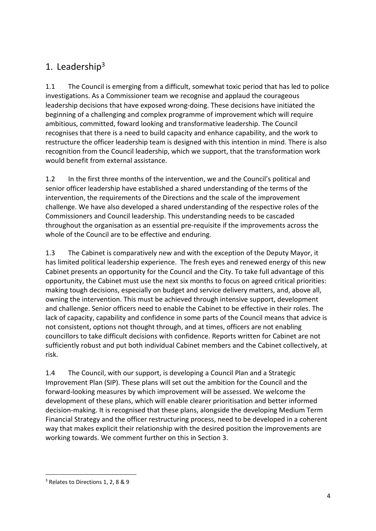### <span id="page-3-0"></span>1. Leadership<sup>3</sup>

1.1 The Council is emerging from a difficult, somewhat toxic period that has led to police investigations. As a Commissioner team we recognise and applaud the courageous leadership decisions that have exposed wrong-doing. These decisions have initiated the beginning of a challenging and complex programme of improvement which will require ambitious, committed, foward looking and transformative leadership. The Council recognises that there is a need to build capacity and enhance capability, and the work to restructure the officer leadership team is designed with this intention in mind. There is also recognition from the Council leadership, which we support, that the transformation work would benefit from external assistance.

1.2 In the first three months of the intervention, we and the Council's political and senior officer leadership have established a shared understanding of the terms of the intervention, the requirements of the Directions and the scale of the improvement challenge. We have also developed a shared understanding of the respective roles of the Commissioners and Council leadership. This understanding needs to be cascaded throughout the organisation as an essential pre-requisite if the improvements across the whole of the Council are to be effective and enduring.

1.3 The Cabinet is comparatively new and with the exception of the Deputy Mayor, it has limited political leadership experience. The fresh eyes and renewed energy of this new Cabinet presents an opportunity for the Council and the City. To take full advantage of this opportunity, the Cabinet must use the next six months to focus on agreed critical priorities: making tough decisions, especially on budget and service delivery matters, and, above all, owning the intervention. This must be achieved through intensive support, development and challenge. Senior officers need to enable the Cabinet to be effective in their roles. The lack of capacity, capability and confidence in some parts of the Council means that advice is not consistent, options not thought through, and at times, officers are not enabling councillors to take difficult decisions with confidence. Reports written for Cabinet are not sufficiently robust and put both individual Cabinet members and the Cabinet collectively, at risk.

1.4 The Council, with our support, is developing a Council Plan and a Strategic Improvement Plan (SIP). These plans will set out the ambition for the Council and the forward-looking measures by which improvement will be assessed. We welcome the development of these plans, which will enable clearer prioritisation and better informed decision-making. It is recognised that these plans, alongside the developing Medium Term Financial Strategy and the officer restructuring process, need to be developed in a coherent way that makes explicit their relationship with the desired position the improvements are working towards. We comment further on this in Section 3.

<sup>3</sup> Relates to Directions 1, 2, 8 & 9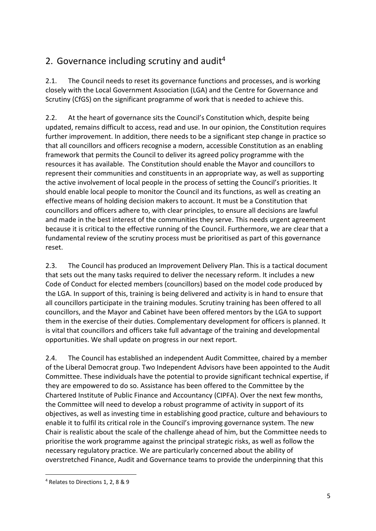### <span id="page-4-0"></span>2. Governance including scrutiny and audit<sup>4</sup>

2.1. The Council needs to reset its governance functions and processes, and is working closely with the Local Government Association (LGA) and the Centre for Governance and Scrutiny (CfGS) on the significant programme of work that is needed to achieve this.

2.2. At the heart of governance sits the Council's Constitution which, despite being updated, remains difficult to access, read and use. In our opinion, the Constitution requires further improvement. In addition, there needs to be a significant step change in practice so that all councillors and officers recognise a modern, accessible Constitution as an enabling framework that permits the Council to deliver its agreed policy programme with the resources it has available. The Constitution should enable the Mayor and councillors to represent their communities and constituents in an appropriate way, as well as supporting the active involvement of local people in the process of setting the Council's priorities. It should enable local people to monitor the Council and its functions, as well as creating an effective means of holding decision makers to account. It must be a Constitution that councillors and officers adhere to, with clear principles, to ensure all decisions are lawful and made in the best interest of the communities they serve. This needs urgent agreement because it is critical to the effective running of the Council. Furthermore, we are clear that a fundamental review of the scrutiny process must be prioritised as part of this governance reset.

2.3. The Council has produced an Improvement Delivery Plan. This is a tactical document that sets out the many tasks required to deliver the necessary reform. It includes a new Code of Conduct for elected members (councillors) based on the model code produced by the LGA. In support of this, training is being delivered and activity is in hand to ensure that all councillors participate in the training modules. Scrutiny training has been offered to all councillors, and the Mayor and Cabinet have been offered mentors by the LGA to support them in the exercise of their duties. Complementary development for officers is planned. It is vital that councillors and officers take full advantage of the training and developmental opportunities. We shall update on progress in our next report.

2.4. The Council has established an independent Audit Committee, chaired by a member of the Liberal Democrat group. Two Independent Advisors have been appointed to the Audit Committee. These individuals have the potential to provide significant technical expertise, if they are empowered to do so. Assistance has been offered to the Committee by the Chartered Institute of Public Finance and Accountancy (CIPFA). Over the next few months, the Committee will need to develop a robust programme of activity in support of its objectives, as well as investing time in establishing good practice, culture and behaviours to enable it to fulfil its critical role in the Council's improving governance system. The new Chair is realistic about the scale of the challenge ahead of him, but the Committee needs to prioritise the work programme against the principal strategic risks, as well as follow the necessary regulatory practice. We are particularly concerned about the ability of overstretched Finance, Audit and Governance teams to provide the underpinning that this

<sup>4</sup> Relates to Directions 1, 2, 8 & 9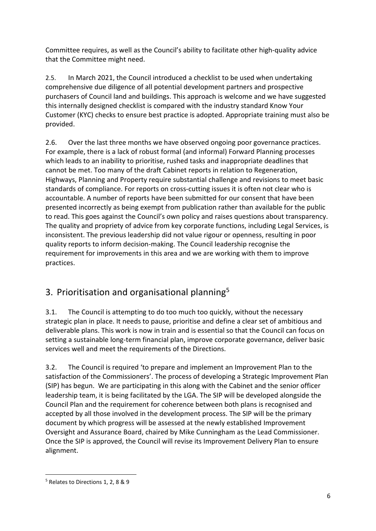Committee requires, as well as the Council's ability to facilitate other high-quality advice that the Committee might need.

2.5. In March 2021, the Council introduced a checklist to be used when undertaking comprehensive due diligence of all potential development partners and prospective purchasers of Council land and buildings. This approach is welcome and we have suggested this internally designed checklist is compared with the industry standard Know Your Customer (KYC) checks to ensure best practice is adopted. Appropriate training must also be provided.

2.6. Over the last three months we have observed ongoing poor governance practices. For example, there is a lack of robust formal (and informal) Forward Planning processes which leads to an inability to prioritise, rushed tasks and inappropriate deadlines that cannot be met. Too many of the draft Cabinet reports in relation to Regeneration, Highways, Planning and Property require substantial challenge and revisions to meet basic standards of compliance. For reports on cross-cutting issues it is often not clear who is accountable. A number of reports have been submitted for our consent that have been presented incorrectly as being exempt from publication rather than available for the public to read. This goes against the Council's own policy and raises questions about transparency. The quality and propriety of advice from key corporate functions, including Legal Services, is inconsistent. The previous leadership did not value rigour or openness, resulting in poor quality reports to inform decision-making. The Council leadership recognise the requirement for improvements in this area and we are working with them to improve practices.

# <span id="page-5-0"></span>3. Prioritisation and organisational planning<sup>5</sup>

3.1. The Council is attempting to do too much too quickly, without the necessary strategic plan in place. It needs to pause, prioritise and define a clear set of ambitious and deliverable plans. This work is now in train and is essential so that the Council can focus on setting a sustainable long-term financial plan, improve corporate governance, deliver basic services well and meet the requirements of the Directions.

3.2. The Council is required 'to prepare and implement an Improvement Plan to the satisfaction of the Commissioners'. The process of developing a Strategic Improvement Plan (SIP) has begun. We are participating in this along with the Cabinet and the senior officer leadership team, it is being facilitated by the LGA. The SIP will be developed alongside the Council Plan and the requirement for coherence between both plans is recognised and accepted by all those involved in the development process. The SIP will be the primary document by which progress will be assessed at the newly established Improvement Oversight and Assurance Board, chaired by Mike Cunningham as the Lead Commissioner. Once the SIP is approved, the Council will revise its Improvement Delivery Plan to ensure alignment.

<sup>5</sup> Relates to Directions 1, 2, 8 & 9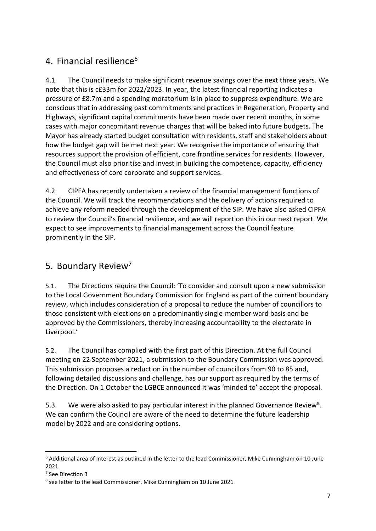### <span id="page-6-0"></span>4. Financial resilience<sup>6</sup>

4.1. The Council needs to make significant revenue savings over the next three years. We note that this is c£33m for 2022/2023. In year, the latest financial reporting indicates a pressure of £8.7m and a spending moratorium is in place to suppress expenditure. We are conscious that in addressing past commitments and practices in Regeneration, Property and Highways, significant capital commitments have been made over recent months, in some cases with major concomitant revenue charges that will be baked into future budgets. The Mayor has already started budget consultation with residents, staff and stakeholders about how the budget gap will be met next year. We recognise the importance of ensuring that resources support the provision of efficient, core frontline services for residents. However, the Council must also prioritise and invest in building the competence, capacity, efficiency and effectiveness of core corporate and support services.

4.2. CIPFA has recently undertaken a review of the financial management functions of the Council. We will track the recommendations and the delivery of actions required to achieve any reform needed through the development of the SIP. We have also asked CIPFA to review the Council's financial resilience, and we will report on this in our next report. We expect to see improvements to financial management across the Council feature prominently in the SIP.

### <span id="page-6-1"></span>5. Boundary Review<sup>7</sup>

5.1. The Directions require the Council: 'To consider and consult upon a new submission to the Local Government Boundary Commission for England as part of the current boundary review, which includes consideration of a proposal to reduce the number of councillors to those consistent with elections on a predominantly single-member ward basis and be approved by the Commissioners, thereby increasing accountability to the electorate in Liverpool.'

5.2. The Council has complied with the first part of this Direction. At the full Council meeting on 22 September 2021, a submission to the Boundary Commission was approved. This submission proposes a reduction in the number of councillors from 90 to 85 and, following detailed discussions and challenge, has our support as required by the terms of the Direction. On 1 October the LGBCE announced it was 'minded to' accept the proposal.

5.3. We were also asked to pay particular interest in the planned Governance Review<sup>8</sup>. We can confirm the Council are aware of the need to determine the future leadership model by 2022 and are considering options.

<sup>6</sup> Additional area of interest as outlined in the letter to the lead Commissioner, Mike Cunningham on 10 June 2021

<sup>7</sup> See Direction 3

<sup>8</sup> see letter to the lead Commissioner, Mike Cunningham on 10 June 2021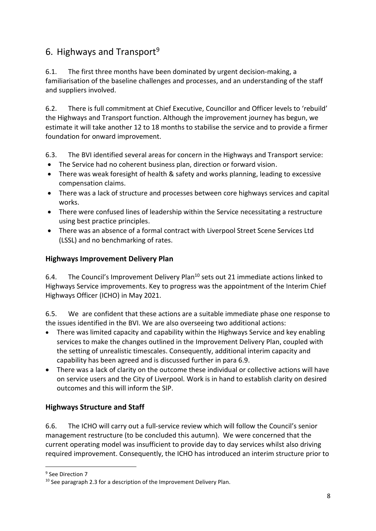### <span id="page-7-0"></span>6. Highways and Transport<sup>9</sup>

6.1. The first three months have been dominated by urgent decision-making, a familiarisation of the baseline challenges and processes, and an understanding of the staff and suppliers involved.

6.2. There is full commitment at Chief Executive, Councillor and Officer levels to 'rebuild' the Highways and Transport function. Although the improvement journey has begun, we estimate it will take another 12 to 18 months to stabilise the service and to provide a firmer foundation for onward improvement.

6.3. The BVI identified several areas for concern in the Highways and Transport service:

- The Service had no coherent business plan, direction or forward vision.
- There was weak foresight of health & safety and works planning, leading to excessive compensation claims.
- There was a lack of structure and processes between core highways services and capital works.
- There were confused lines of leadership within the Service necessitating a restructure using best practice principles.
- There was an absence of a formal contract with Liverpool Street Scene Services Ltd (LSSL) and no benchmarking of rates.

#### <span id="page-7-1"></span>**Highways Improvement Delivery Plan**

6.4. The Council's Improvement Delivery Plan<sup>10</sup> sets out 21 immediate actions linked to Highways Service improvements. Key to progress was the appointment of the Interim Chief Highways Officer (ICHO) in May 2021.

6.5. We are confident that these actions are a suitable immediate phase one response to the issues identified in the BVI. We are also overseeing two additional actions:

- There was limited capacity and capability within the Highways Service and key enabling services to make the changes outlined in the Improvement Delivery Plan, coupled with the setting of unrealistic timescales. Consequently, additional interim capacity and capability has been agreed and is discussed further in para 6.9.
- There was a lack of clarity on the outcome these individual or collective actions will have on service users and the City of Liverpool. Work is in hand to establish clarity on desired outcomes and this will inform the SIP.

#### <span id="page-7-2"></span>**Highways Structure and Staff**

6.6. The ICHO will carry out a full-service review which will follow the Council's senior management restructure (to be concluded this autumn). We were concerned that the current operating model was insufficient to provide day to day services whilst also driving required improvement. Consequently, the ICHO has introduced an interim structure prior to

<sup>9</sup> See Direction 7

<sup>&</sup>lt;sup>10</sup> See paragraph 2.3 for a description of the Improvement Delivery Plan.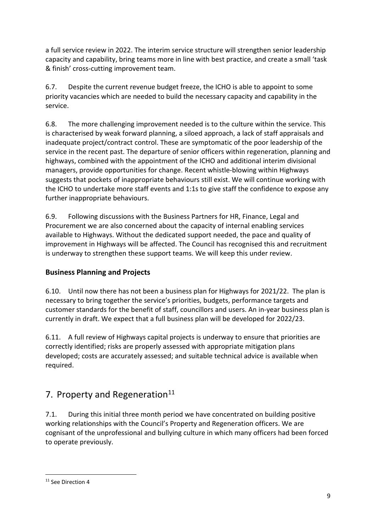a full service review in 2022. The interim service structure will strengthen senior leadership capacity and capability, bring teams more in line with best practice, and create a small 'task & finish' cross-cutting improvement team.

6.7. Despite the current revenue budget freeze, the ICHO is able to appoint to some priority vacancies which are needed to build the necessary capacity and capability in the service.

6.8. The more challenging improvement needed is to the culture within the service. This is characterised by weak forward planning, a siloed approach, a lack of staff appraisals and inadequate project/contract control. These are symptomatic of the poor leadership of the service in the recent past. The departure of senior officers within regeneration, planning and highways, combined with the appointment of the ICHO and additional interim divisional managers, provide opportunities for change. Recent whistle-blowing within Highways suggests that pockets of inappropriate behaviours still exist. We will continue working with the ICHO to undertake more staff events and 1:1s to give staff the confidence to expose any further inappropriate behaviours.

6.9. Following discussions with the Business Partners for HR, Finance, Legal and Procurement we are also concerned about the capacity of internal enabling services available to Highways. Without the dedicated support needed, the pace and quality of improvement in Highways will be affected. The Council has recognised this and recruitment is underway to strengthen these support teams. We will keep this under review.

### <span id="page-8-0"></span>**Business Planning and Projects**

6.10. Until now there has not been a business plan for Highways for 2021/22. The plan is necessary to bring together the service's priorities, budgets, performance targets and customer standards for the benefit of staff, councillors and users. An in-year business plan is currently in draft. We expect that a full business plan will be developed for 2022/23.

6.11. A full review of Highways capital projects is underway to ensure that priorities are correctly identified; risks are properly assessed with appropriate mitigation plans developed; costs are accurately assessed; and suitable technical advice is available when required.

### <span id="page-8-1"></span>7. Property and Regeneration<sup>11</sup>

7.1. During this initial three month period we have concentrated on building positive working relationships with the Council's Property and Regeneration officers. We are cognisant of the unprofessional and bullying culture in which many officers had been forced to operate previously.

<sup>11</sup> See Direction 4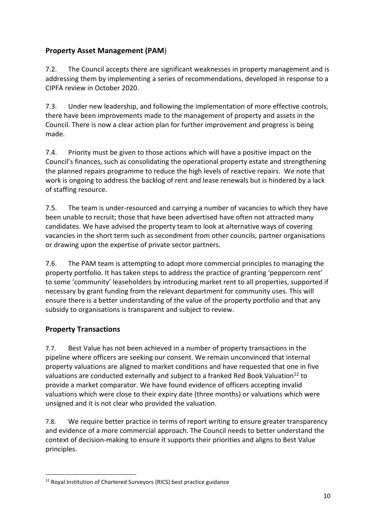#### <span id="page-9-0"></span>**Property Asset Management (PAM**)

7.2. The Council accepts there are significant weaknesses in property management and is addressing them by implementing a series of recommendations, developed in response to a CIPFA review in October 2020.

7.3. Under new leadership, and following the implementation of more effective controls, there have been improvements made to the management of property and assets in the Council. There is now a clear action plan for further improvement and progress is being made.

7.4. Priority must be given to those actions which will have a positive impact on the Council's finances, such as consolidating the operational property estate and strengthening the planned repairs programme to reduce the high levels of reactive repairs. We note that work is ongoing to address the backlog of rent and lease renewals but is hindered by a lack of staffing resource.

7.5. The team is under-resourced and carrying a number of vacancies to which they have been unable to recruit; those that have been advertised have often not attracted many candidates. We have advised the property team to look at alternative ways of covering vacancies in the short term such as secondment from other councils, partner organisations or drawing upon the expertise of private sector partners.

7.6. The PAM team is attempting to adopt more commercial principles to managing the property portfolio. It has taken steps to address the practice of granting 'peppercorn rent' to some 'community' leaseholders by introducing market rent to all properties, supported if necessary by grant funding from the relevant department for community uses. This will ensure there is a better understanding of the value of the property portfolio and that any subsidy to organisations is transparent and subject to review.

#### <span id="page-9-1"></span>**Property Transactions**

7.7. Best Value has not been achieved in a number of property transactions in the pipeline where officers are seeking our consent. We remain unconvinced that internal property valuations are aligned to market conditions and have requested that one in five valuations are conducted externally and subject to a franked Red Book Valuation<sup>12</sup> to provide a market comparator. We have found evidence of officers accepting invalid valuations which were close to their expiry date (three months) or valuations which were unsigned and it is not clear who provided the valuation.

7.8. We require better practice in terms of report writing to ensure greater transparency and evidence of a more commercial approach. The Council needs to better understand the context of decision-making to ensure it supports their priorities and aligns to Best Value principles.

<sup>12</sup> Royal Institution of Chartered Surveyors (RICS) best practice guidance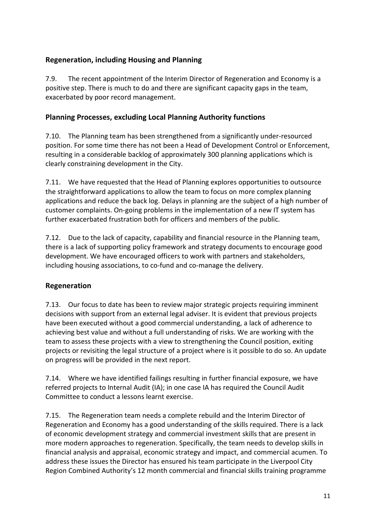#### <span id="page-10-0"></span>**Regeneration, including Housing and Planning**

7.9. The recent appointment of the Interim Director of Regeneration and Economy is a positive step. There is much to do and there are significant capacity gaps in the team, exacerbated by poor record management.

#### <span id="page-10-1"></span>**Planning Processes, excluding Local Planning Authority functions**

7.10. The Planning team has been strengthened from a significantly under-resourced position. For some time there has not been a Head of Development Control or Enforcement, resulting in a considerable backlog of approximately 300 planning applications which is clearly constraining development in the City.

7.11. We have requested that the Head of Planning explores opportunities to outsource the straightforward applications to allow the team to focus on more complex planning applications and reduce the back log. Delays in planning are the subject of a high number of customer complaints. On-going problems in the implementation of a new IT system has further exacerbated frustration both for officers and members of the public.

7.12. Due to the lack of capacity, capability and financial resource in the Planning team, there is a lack of supporting policy framework and strategy documents to encourage good development. We have encouraged officers to work with partners and stakeholders, including housing associations, to co-fund and co-manage the delivery.

#### <span id="page-10-2"></span>**Regeneration**

7.13. Our focus to date has been to review major strategic projects requiring imminent decisions with support from an external legal adviser. It is evident that previous projects have been executed without a good commercial understanding, a lack of adherence to achieving best value and without a full understanding of risks. We are working with the team to assess these projects with a view to strengthening the Council position, exiting projects or revisiting the legal structure of a project where is it possible to do so. An update on progress will be provided in the next report.

7.14. Where we have identified failings resulting in further financial exposure, we have referred projects to Internal Audit (IA); in one case IA has required the Council Audit Committee to conduct a lessons learnt exercise.

7.15. The Regeneration team needs a complete rebuild and the Interim Director of Regeneration and Economy has a good understanding of the skills required. There is a lack of economic development strategy and commercial investment skills that are present in more modern approaches to regeneration. Specifically, the team needs to develop skills in financial analysis and appraisal, economic strategy and impact, and commercial acumen. To address these issues the Director has ensured his team participate in the Liverpool City Region Combined Authority's 12 month commercial and financial skills training programme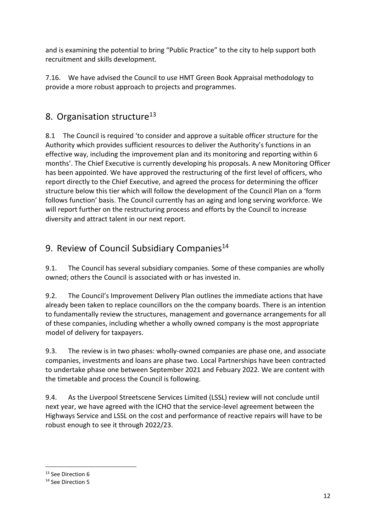and is examining the potential to bring "Public Practice" to the city to help support both recruitment and skills development.

7.16. We have advised the Council to use HMT Green Book Appraisal methodology to provide a more robust approach to projects and programmes.

### <span id="page-11-0"></span>8. Organisation structure<sup>13</sup>

8.1 The Council is required 'to consider and approve a suitable officer structure for the Authority which provides sufficient resources to deliver the Authority's functions in an effective way, including the improvement plan and its monitoring and reporting within 6 months'. The Chief Executive is currently developing his proposals. A new Monitoring Officer has been appointed. We have approved the restructuring of the first level of officers, who report directly to the Chief Executive, and agreed the process for determining the officer structure below this tier which will follow the development of the Council Plan on a 'form follows function' basis. The Council currently has an aging and long serving workforce. We will report further on the restructuring process and efforts by the Council to increase diversity and attract talent in our next report.

### <span id="page-11-1"></span>9. Review of Council Subsidiary Companies<sup>14</sup>

9.1. The Council has several subsidiary companies. Some of these companies are wholly owned; others the Council is associated with or has invested in.

9.2. The Council's Improvement Delivery Plan outlines the immediate actions that have already been taken to replace councillors on the the company boards. There is an intention to fundamentally review the structures, management and governance arrangements for all of these companies, including whether a wholly owned company is the most appropriate model of delivery for taxpayers.

9.3. The review is in two phases: wholly-owned companies are phase one, and associate companies, investments and loans are phase two. Local Partnerships have been contracted to undertake phase one between September 2021 and Febuary 2022. We are content with the timetable and process the Council is following.

9.4. As the Liverpool Streetscene Services Limited (LSSL) review will not conclude until next year, we have agreed with the ICHO that the service-level agreement between the Highways Service and LSSL on the cost and performance of reactive repairs will have to be robust enough to see it through 2022/23.

<sup>&</sup>lt;sup>13</sup> See Direction 6

<sup>14</sup> See Direction 5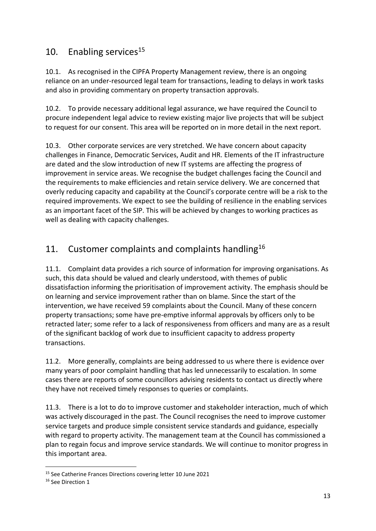### <span id="page-12-0"></span>10. Enabling services<sup>15</sup>

10.1. As recognised in the CIPFA Property Management review, there is an ongoing reliance on an under-resourced legal team for transactions, leading to delays in work tasks and also in providing commentary on property transaction approvals.

10.2. To provide necessary additional legal assurance, we have required the Council to procure independent legal advice to review existing major live projects that will be subject to request for our consent. This area will be reported on in more detail in the next report.

10.3. Other corporate services are very stretched. We have concern about capacity challenges in Finance, Democratic Services, Audit and HR. Elements of the IT infrastructure are dated and the slow introduction of new IT systems are affecting the progress of improvement in service areas. We recognise the budget challenges facing the Council and the requirements to make efficiencies and retain service delivery. We are concerned that overly reducing capacity and capability at the Council's corporate centre will be a risk to the required improvements. We expect to see the building of resilience in the enabling services as an important facet of the SIP. This will be achieved by changes to working practices as well as dealing with capacity challenges.

### <span id="page-12-1"></span>11. Customer complaints and complaints handling<sup>16</sup>

11.1. Complaint data provides a rich source of information for improving organisations. As such, this data should be valued and clearly understood, with themes of public dissatisfaction informing the prioritisation of improvement activity. The emphasis should be on learning and service improvement rather than on blame. Since the start of the intervention, we have received 59 complaints about the Council. Many of these concern property transactions; some have pre-emptive informal approvals by officers only to be retracted later; some refer to a lack of responsiveness from officers and many are as a result of the significant backlog of work due to insufficient capacity to address property transactions.

11.2. More generally, complaints are being addressed to us where there is evidence over many years of poor complaint handling that has led unnecessarily to escalation. In some cases there are reports of some councillors advising residents to contact us directly where they have not received timely responses to queries or complaints.

11.3. There is a lot to do to improve customer and stakeholder interaction, much of which was actively discouraged in the past. The Council recognises the need to improve customer service targets and produce simple consistent service standards and guidance, especially with regard to property activity. The management team at the Council has commissioned a plan to regain focus and improve service standards. We will continue to monitor progress in this important area.

<sup>15</sup> See Catherine Frances Directions covering letter 10 June 2021

<sup>&</sup>lt;sup>16</sup> See Direction 1